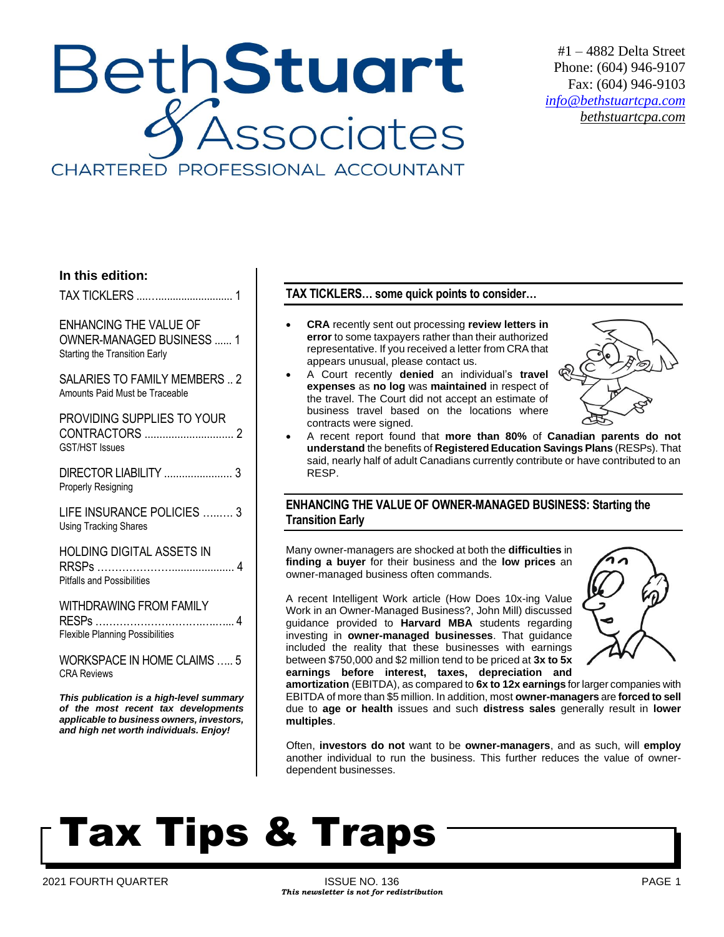## **BethStuart** Associates CHARTERED PROFESSIONAL ACCOUNTANT

#1 – 4882 Delta Street Phone: (604) 946-9107 Fax: (604) 946-9103 *[info@bethstuartcpa.com](mailto:info@bethstuartcpa.com) bethstuartcpa.com*

### **In this edition:**

TAX TICKLERS ....….......................... 1

ENHANCING THE VALUE OF OWNER-MANAGED BUSINESS ...... 1 Starting the Transition Early

SALARIES TO FAMILY MEMBERS .. 2 Amounts Paid Must be Traceable

PROVIDING SUPPLIES TO YOUR CONTRACTORS .............................. 2 GST/HST Issues

DIRECTOR LIABILITY ....................... 3 Properly Resigning

LIFE INSURANCE POLICIES …..…. 3 Using Tracking Shares

HOLDING DIGITAL ASSETS IN RRSPs …………………..................... 4 Pitfalls and Possibilities

WITHDRAWING FROM FAMILY RESPs ………………………….….…... 4 Flexible Planning Possibilities

WORKSPACE IN HOME CLAIMS ….. 5 CRA Reviews

*This publication is a high-level summary of the most recent tax developments applicable to business owners, investors, and high net worth individuals. Enjoy!*

### **TAX TICKLERS… some quick points to consider…**

- **CRA** recently sent out processing **review letters in error** to some taxpayers rather than their authorized representative. If you received a letter from CRA that appears unusual, please contact us.
- A Court recently **denied** an individual's **travel expenses** as **no log** was **maintained** in respect of the travel. The Court did not accept an estimate of business travel based on the locations where contracts were signed.



• A recent report found that **more than 80%** of **Canadian parents do not understand** the benefits of **Registered Education Savings Plans** (RESPs). That said, nearly half of adult Canadians currently contribute or have contributed to an RESP.

## **ENHANCING THE VALUE OF OWNER-MANAGED BUSINESS: Starting the Transition Early**

Many owner-managers are shocked at both the **difficulties** in **finding a buyer** for their business and the **low prices** an owner-managed business often commands.

A recent Intelligent Work article (How Does 10x-ing Value Work in an Owner-Managed Business?, John Mill) discussed guidance provided to **Harvard MBA** students regarding investing in **owner-managed businesses**. That guidance included the reality that these businesses with earnings between \$750,000 and \$2 million tend to be priced at **3x to 5x earnings before interest, taxes, depreciation and** 



**amortization** (EBITDA), as compared to **6x to 12x earnings** for larger companies with EBITDA of more than \$5 million. In addition, most **owner-managers** are **forced to sell** due to **age or health** issues and such **distress sales** generally result in **lower multiples**.

Often, **investors do not** want to be **owner-managers**, and as such, will **employ** another individual to run the business. This further reduces the value of ownerdependent businesses.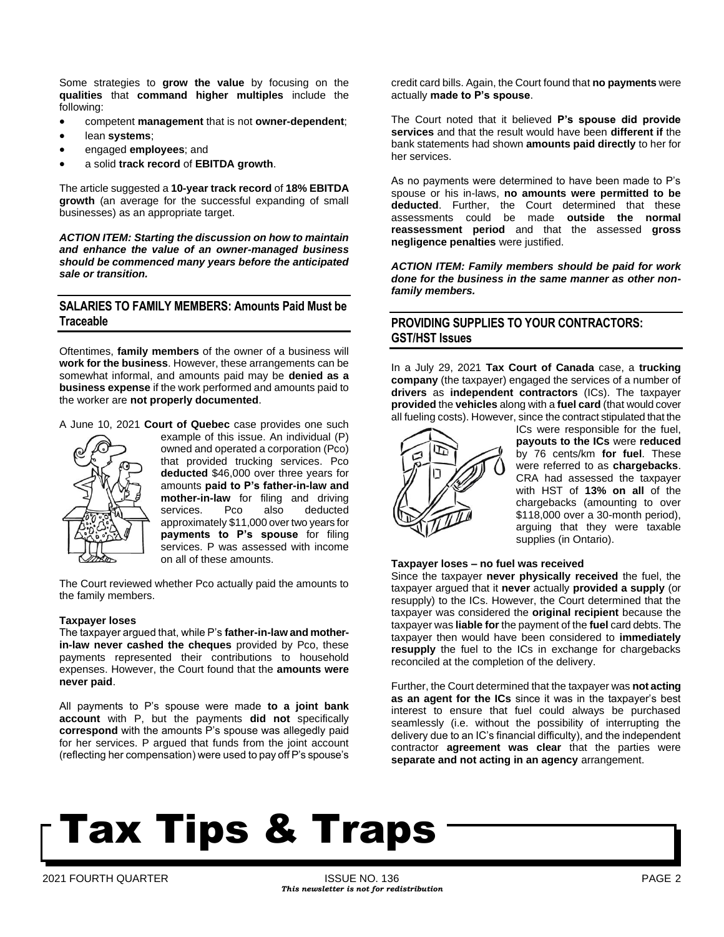Some strategies to **grow the value** by focusing on the **qualities** that **command higher multiples** include the following:

- competent **management** that is not **owner-dependent**;
- lean **systems**;
- engaged **employees**; and
- a solid **track record** of **EBITDA growth**.

The article suggested a **10-year track record** of **18% EBITDA growth** (an average for the successful expanding of small businesses) as an appropriate target.

*ACTION ITEM: Starting the discussion on how to maintain and enhance the value of an owner-managed business should be commenced many years before the anticipated sale or transition.* 

### **SALARIES TO FAMILY MEMBERS: Amounts Paid Must be Traceable**

Oftentimes, **family members** of the owner of a business will **work for the business**. However, these arrangements can be somewhat informal, and amounts paid may be **denied as a business expense** if the work performed and amounts paid to the worker are **not properly documented**.

A June 10, 2021 **Court of Quebec** case provides one such



example of this issue. An individual (P) owned and operated a corporation (Pco) that provided trucking services. Pco **deducted** \$46,000 over three years for amounts **paid to P's father-in-law and mother-in-law** for filing and driving services. Pco also deducted approximately \$11,000 over two years for **payments to P's spouse** for filing services. P was assessed with income on all of these amounts.

The Court reviewed whether Pco actually paid the amounts to the family members.

#### **Taxpayer loses**

The taxpayer argued that, while P's **father-in-law and motherin-law never cashed the cheques** provided by Pco, these payments represented their contributions to household expenses. However, the Court found that the **amounts were never paid**.

All payments to P's spouse were made **to a joint bank account** with P, but the payments **did not** specifically **correspond** with the amounts P's spouse was allegedly paid for her services. P argued that funds from the joint account (reflecting her compensation) were used to pay off P's spouse's credit card bills. Again, the Court found that **no payments** were actually **made to P's spouse**.

The Court noted that it believed **P's spouse did provide services** and that the result would have been **different if** the bank statements had shown **amounts paid directly** to her for her services.

As no payments were determined to have been made to P's spouse or his in-laws, **no amounts were permitted to be deducted**. Further, the Court determined that these assessments could be made **outside the normal reassessment period** and that the assessed **gross negligence penalties** were justified.

*ACTION ITEM: Family members should be paid for work done for the business in the same manner as other nonfamily members.* 

## **PROVIDING SUPPLIES TO YOUR CONTRACTORS: GST/HST Issues**

In a July 29, 2021 **Tax Court of Canada** case, a **trucking company** (the taxpayer) engaged the services of a number of **drivers** as **independent contractors** (ICs). The taxpayer **provided** the **vehicles** along with a **fuel card** (that would cover all fueling costs). However, since the contract stipulated that the



ICs were responsible for the fuel, **payouts to the ICs** were **reduced** by 76 cents/km **for fuel**. These were referred to as **chargebacks**. CRA had assessed the taxpayer with HST of **13% on all** of the chargebacks (amounting to over \$118,000 over a 30-month period), arguing that they were taxable supplies (in Ontario).

#### **Taxpayer loses – no fuel was received**

Since the taxpayer **never physically received** the fuel, the taxpayer argued that it **never** actually **provided a supply** (or resupply) to the ICs. However, the Court determined that the taxpayer was considered the **original recipient** because the taxpayer was **liable for** the payment of the **fuel** card debts. The taxpayer then would have been considered to **immediately resupply** the fuel to the ICs in exchange for chargebacks reconciled at the completion of the delivery.

Further, the Court determined that the taxpayer was **not acting as an agent for the ICs** since it was in the taxpayer's best interest to ensure that fuel could always be purchased seamlessly (i.e. without the possibility of interrupting the delivery due to an IC's financial difficulty), and the independent contractor **agreement was clear** that the parties were **separate and not acting in an agency** arrangement.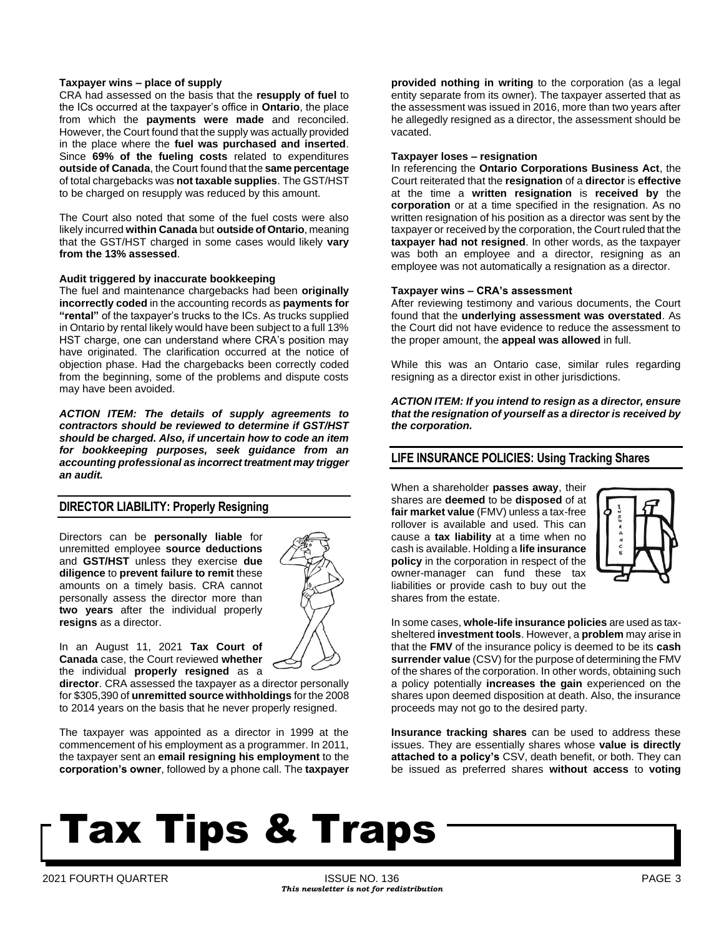#### **Taxpayer wins – place of supply**

CRA had assessed on the basis that the **resupply of fuel** to the ICs occurred at the taxpayer's office in **Ontario**, the place from which the **payments were made** and reconciled. However, the Court found that the supply was actually provided in the place where the **fuel was purchased and inserted**. Since **69% of the fueling costs** related to expenditures **outside of Canada**, the Court found that the **same percentage** of total chargebacks was **not taxable supplies**. The GST/HST to be charged on resupply was reduced by this amount.

The Court also noted that some of the fuel costs were also likely incurred **within Canada** but **outside of Ontario**, meaning that the GST/HST charged in some cases would likely **vary from the 13% assessed**.

#### **Audit triggered by inaccurate bookkeeping**

The fuel and maintenance chargebacks had been **originally incorrectly coded** in the accounting records as **payments for "rental"** of the taxpayer's trucks to the ICs. As trucks supplied in Ontario by rental likely would have been subject to a full 13% HST charge, one can understand where CRA's position may have originated. The clarification occurred at the notice of objection phase. Had the chargebacks been correctly coded from the beginning, some of the problems and dispute costs may have been avoided.

*ACTION ITEM: The details of supply agreements to contractors should be reviewed to determine if GST/HST should be charged. Also, if uncertain how to code an item for bookkeeping purposes, seek guidance from an accounting professional as incorrect treatment may trigger an audit.*

### **DIRECTOR LIABILITY: Properly Resigning**

Directors can be **personally liable** for unremitted employee **source deductions** and **GST/HST** unless they exercise **due diligence** to **prevent failure to remit** these amounts on a timely basis. CRA cannot personally assess the director more than **two years** after the individual properly **resigns** as a director.



In an August 11, 2021 **Tax Court of Canada** case, the Court reviewed **whether** the individual **properly resigned** as a

**director**. CRA assessed the taxpayer as a director personally for \$305,390 of **unremitted source withholdings** for the 2008 to 2014 years on the basis that he never properly resigned.

The taxpayer was appointed as a director in 1999 at the commencement of his employment as a programmer. In 2011, the taxpayer sent an **email resigning his employment** to the **corporation's owner**, followed by a phone call. The **taxpayer** 

**provided nothing in writing** to the corporation (as a legal entity separate from its owner). The taxpayer asserted that as the assessment was issued in 2016, more than two years after he allegedly resigned as a director, the assessment should be vacated.

#### **Taxpayer loses – resignation**

In referencing the **Ontario Corporations Business Act**, the Court reiterated that the **resignation** of a **director** is **effective** at the time a **written resignation** is **received by** the **corporation** or at a time specified in the resignation. As no written resignation of his position as a director was sent by the taxpayer or received by the corporation, the Court ruled that the **taxpayer had not resigned**. In other words, as the taxpayer was both an employee and a director, resigning as an employee was not automatically a resignation as a director.

#### **Taxpayer wins – CRA's assessment**

After reviewing testimony and various documents, the Court found that the **underlying assessment was overstated**. As the Court did not have evidence to reduce the assessment to the proper amount, the **appeal was allowed** in full.

While this was an Ontario case, similar rules regarding resigning as a director exist in other jurisdictions.

*ACTION ITEM: If you intend to resign as a director, ensure that the resignation of yourself as a director is received by the corporation.* 

#### **LIFE INSURANCE POLICIES: Using Tracking Shares**

When a shareholder **passes away**, their shares are **deemed** to be **disposed** of at **fair market value** (FMV) unless a tax-free rollover is available and used. This can cause a **tax liability** at a time when no cash is available. Holding a **life insurance policy** in the corporation in respect of the owner-manager can fund these tax liabilities or provide cash to buy out the shares from the estate.



In some cases, **whole-life insurance policies** are used as taxsheltered **investment tools**. However, a **problem** may arise in that the **FMV** of the insurance policy is deemed to be its **cash surrender value** (CSV) for the purpose of determining the FMV of the shares of the corporation. In other words, obtaining such a policy potentially **increases the gain** experienced on the shares upon deemed disposition at death. Also, the insurance proceeds may not go to the desired party.

**Insurance tracking shares** can be used to address these issues. They are essentially shares whose **value is directly attached to a policy's** CSV, death benefit, or both. They can be issued as preferred shares **without access** to **voting**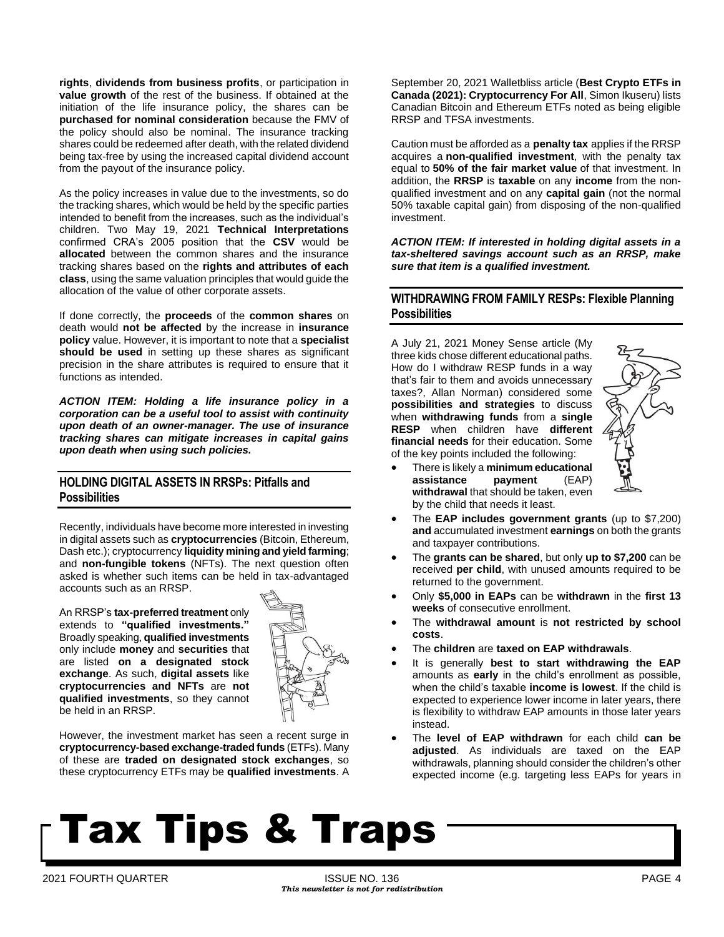**rights**, **dividends from business profits**, or participation in **value growth** of the rest of the business. If obtained at the initiation of the life insurance policy, the shares can be **purchased for nominal consideration** because the FMV of the policy should also be nominal. The insurance tracking shares could be redeemed after death, with the related dividend being tax-free by using the increased capital dividend account from the payout of the insurance policy.

As the policy increases in value due to the investments, so do the tracking shares, which would be held by the specific parties intended to benefit from the increases, such as the individual's children. Two May 19, 2021 **Technical Interpretations** confirmed CRA's 2005 position that the **CSV** would be **allocated** between the common shares and the insurance tracking shares based on the **rights and attributes of each class**, using the same valuation principles that would guide the allocation of the value of other corporate assets.

If done correctly, the **proceeds** of the **common shares** on death would **not be affected** by the increase in **insurance policy** value. However, it is important to note that a **specialist should be used** in setting up these shares as significant precision in the share attributes is required to ensure that it functions as intended.

*ACTION ITEM: Holding a life insurance policy in a corporation can be a useful tool to assist with continuity upon death of an owner-manager. The use of insurance tracking shares can mitigate increases in capital gains upon death when using such policies.* 

## **HOLDING DIGITAL ASSETS IN RRSPs: Pitfalls and Possibilities**

Recently, individuals have become more interested in investing in digital assets such as **cryptocurrencies** (Bitcoin, Ethereum, Dash etc.); cryptocurrency **liquidity mining and yield farming**; and **non-fungible tokens** (NFTs). The next question often asked is whether such items can be held in tax-advantaged accounts such as an RRSP.

An RRSP's **tax-preferred treatment** only extends to **"qualified investments."** Broadly speaking, **qualified investments** only include **money** and **securities** that are listed **on a designated stock exchange**. As such, **digital assets** like **cryptocurrencies and NFTs** are **not qualified investments**, so they cannot be held in an RRSP.



However, the investment market has seen a recent surge in **cryptocurrency-based exchange-traded funds** (ETFs). Many of these are **traded on designated stock exchanges**, so these cryptocurrency ETFs may be **qualified investments**. A September 20, 2021 Walletbliss article (**Best Crypto ETFs in Canada (2021): Cryptocurrency For All**, Simon Ikuseru) lists Canadian Bitcoin and Ethereum ETFs noted as being eligible RRSP and TFSA investments.

Caution must be afforded as a **penalty tax** applies if the RRSP acquires a **non-qualified investment**, with the penalty tax equal to **50% of the fair market value** of that investment. In addition, the **RRSP** is **taxable** on any **income** from the nonqualified investment and on any **capital gain** (not the normal 50% taxable capital gain) from disposing of the non-qualified investment.

*ACTION ITEM: If interested in holding digital assets in a tax-sheltered savings account such as an RRSP, make sure that item is a qualified investment.*

### **WITHDRAWING FROM FAMILY RESPs: Flexible Planning Possibilities**

A July 21, 2021 Money Sense article (My three kids chose different educational paths. How do I withdraw RESP funds in a way that's fair to them and avoids unnecessary taxes?, Allan Norman) considered some **possibilities and strategies** to discuss when **withdrawing funds** from a **single RESP** when children have **different financial needs** for their education. Some of the key points included the following:



- There is likely a **minimum educational assistance payment** (EAP) **withdrawal** that should be taken, even by the child that needs it least.
- The **EAP includes government grants** (up to \$7,200) **and** accumulated investment **earnings** on both the grants and taxpayer contributions.
- The **grants can be shared**, but only **up to \$7,200** can be received **per child**, with unused amounts required to be returned to the government.
- Only **\$5,000 in EAPs** can be **withdrawn** in the **first 13 weeks** of consecutive enrollment.
- The **withdrawal amount** is **not restricted by school costs**.
- The **children** are **taxed on EAP withdrawals**.
- It is generally **best to start withdrawing the EAP** amounts as **early** in the child's enrollment as possible, when the child's taxable **income is lowest**. If the child is expected to experience lower income in later years, there is flexibility to withdraw EAP amounts in those later years instead.
- The **level of EAP withdrawn** for each child **can be adjusted**. As individuals are taxed on the EAP withdrawals, planning should consider the children's other expected income (e.g. targeting less EAPs for years in